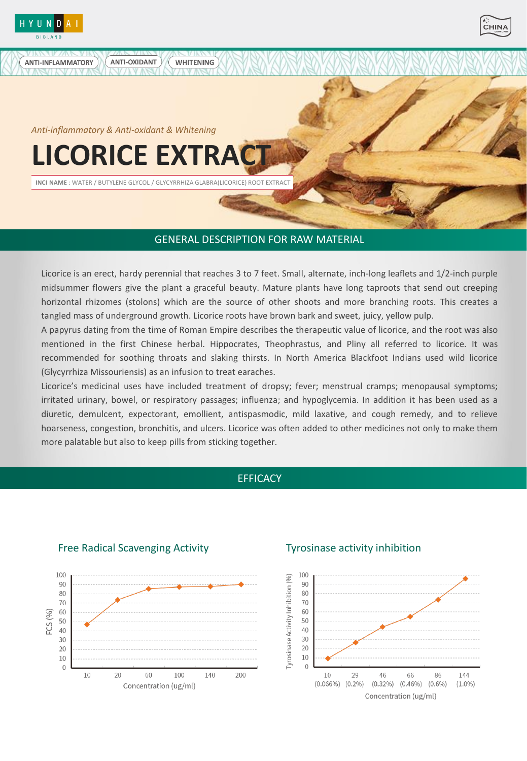

**ANTI-INFLAMMATORY** 



*Anti-inflammatory & Anti-oxidant & Whitening*

ANTI-OXIDANT

# **LICORICE EXTRA**

**INCI NAME** : WATER / BUTYLENE GLYCOL / GLYCYRRHIZA GLABRA(LICORICE) ROOT EXTRACT

**WHITENING** 

## GENERAL DESCRIPTION FOR RAW MATERIAL

Licorice is an erect, hardy perennial that reaches 3 to 7 feet. Small, alternate, inch-long leaflets and 1/2-inch purple midsummer flowers give the plant a graceful beauty. Mature plants have long taproots that send out creeping horizontal rhizomes (stolons) which are the source of other shoots and more branching roots. This creates a tangled mass of underground growth. Licorice roots have brown bark and sweet, juicy, yellow pulp.

A papyrus dating from the time of Roman Empire describes the therapeutic value of licorice, and the root was also mentioned in the first Chinese herbal. Hippocrates, Theophrastus, and Pliny all referred to licorice. It was recommended for soothing throats and slaking thirsts. In North America Blackfoot Indians used wild licorice (Glycyrrhiza Missouriensis) as an infusion to treat earaches.

Licorice's medicinal uses have included treatment of dropsy; fever; menstrual cramps; menopausal symptoms; irritated urinary, bowel, or respiratory passages; influenza; and hypoglycemia. In addition it has been used as a diuretic, demulcent, expectorant, emollient, antispasmodic, mild laxative, and cough remedy, and to relieve hoarseness, congestion, bronchitis, and ulcers. Licorice was often added to other medicines not only to make them more palatable but also to keep pills from sticking together.

# **EFFICACY**



## Free Radical Scavenging Activity Tyrosinase activity inhibition